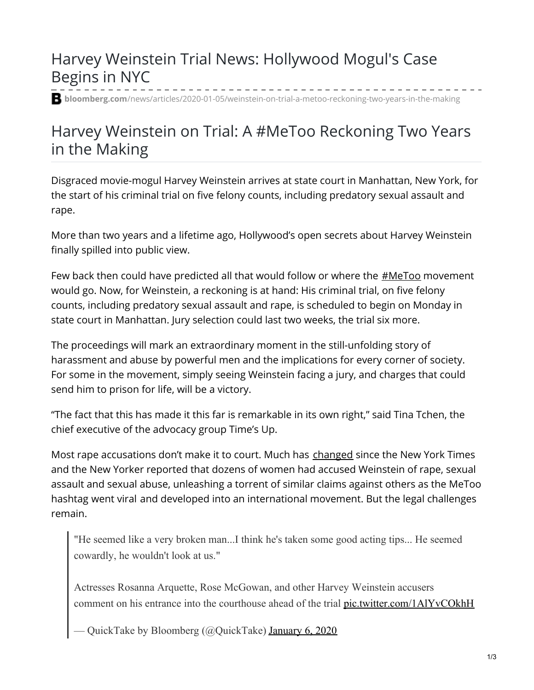## Harvey Weinstein Trial News: Hollywood Mogul's Case Begins in NYC

**bloomberg.com**[/news/articles/2020-01-05/weinstein-on-trial-a-metoo-reckoning-two-years-in-the-making](https://www.bloomberg.com/news/articles/2020-01-05/weinstein-on-trial-a-metoo-reckoning-two-years-in-the-making)

## Harvey Weinstein on Trial: A #MeToo Reckoning Two Years in the Making

Disgraced movie-mogul Harvey Weinstein arrives at state court in Manhattan, New York, for the start of his criminal trial on five felony counts, including predatory sexual assault and rape.

More than two years and a lifetime ago, Hollywood's open secrets about Harvey Weinstein finally spilled into public view.

Few back then could have predicted all that would follow or where the  $\#$ MeToo movement would go. Now, for Weinstein, a reckoning is at hand: His criminal trial, on five felony counts, including predatory sexual assault and rape, is scheduled to begin on Monday in state court in Manhattan. Jury selection could last two weeks, the trial six more.

The proceedings will mark an extraordinary moment in the still-unfolding story of harassment and abuse by powerful men and the implications for every corner of society. For some in the movement, simply seeing Weinstein facing a jury, and charges that could send him to prison for life, will be a victory.

"The fact that this has made it this far is remarkable in its own right," said Tina Tchen, the chief executive of the advocacy group Time's Up.

Most rape accusations don't make it to court. Much has [changed](https://www.bloomberg.com/news/articles/2018-11-14/why-companies-now-want-harassment-out-in-the-light-quicktake) since the New York Times and the New Yorker reported that dozens of women had accused Weinstein of rape, sexual assault and sexual abuse, unleashing a torrent of similar claims against others as the MeToo hashtag went viral and developed into an international movement. But the legal challenges remain.

"He seemed like a very broken man...I think he's taken some good acting tips... He seemed cowardly, he wouldn't look at us."

Actresses Rosanna Arquette, Rose McGowan, and other Harvey Weinstein accusers comment on his entrance into the courthouse ahead of the trial [pic.twitter.com/1AlYvCOkhH](https://t.co/1AlYvCOkhH)

- QuickTake by Bloomberg (@QuickTake) [January](https://twitter.com/QuickTake/status/1214205854360199168?ref_src=twsrc%5Etfw) 6, 2020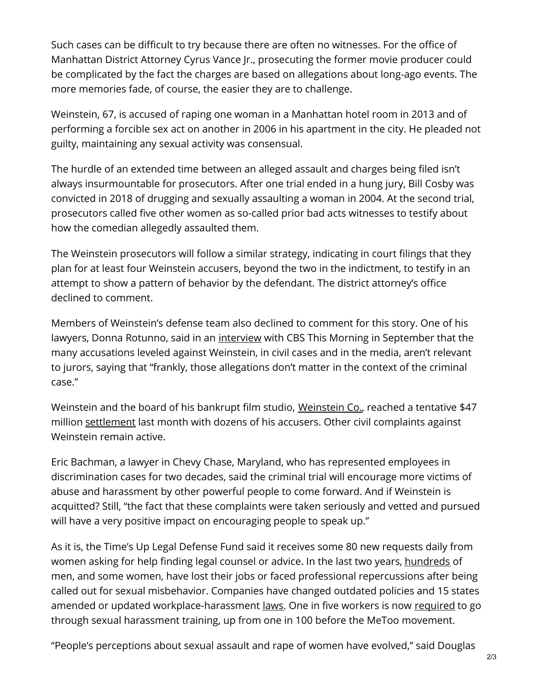Such cases can be difficult to try because there are often no witnesses. For the office of Manhattan District Attorney Cyrus Vance Jr., prosecuting the former movie producer could be complicated by the fact the charges are based on allegations about long-ago events. The more memories fade, of course, the easier they are to challenge.

Weinstein, 67, is accused of raping one woman in a Manhattan hotel room in 2013 and of performing a forcible sex act on another in 2006 in his apartment in the city. He pleaded not guilty, maintaining any sexual activity was consensual.

The hurdle of an extended time between an alleged assault and charges being filed isn't always insurmountable for prosecutors. After one trial ended in a hung jury, Bill Cosby was convicted in 2018 of drugging and sexually assaulting a woman in 2004. At the second trial, prosecutors called five other women as so-called prior bad acts witnesses to testify about how the comedian allegedly assaulted them.

The Weinstein prosecutors will follow a similar strategy, indicating in court filings that they plan for at least four Weinstein accusers, beyond the two in the indictment, to testify in an attempt to show a pattern of behavior by the defendant. The district attorney's office declined to comment.

Members of Weinstein's defense team also declined to comment for this story. One of his lawyers, Donna Rotunno, said in an *[interview](https://www.cbsnews.com/news/harvey-weinstein-lawyer-donna-rotunno-metoo-difference-sins-crimes-exclusive-interview-cbs-this-morning/)* with CBS This Morning in September that the many accusations leveled against Weinstein, in civil cases and in the media, aren't relevant to jurors, saying that "frankly, those allegations don't matter in the context of the criminal case."

[Weinstein](https://www.bloomberg.com/quote/571372Z:US) and the board of his bankrupt film studio, Weinstein Co., reached a tentative \$47 million [settlement](https://www.bloomberg.com/news/articles/2019-12-11/harvey-weinstein-sex-abuse-settlement-is-seen-as-flawed) last month with dozens of his accusers. Other civil complaints against Weinstein remain active.

Eric Bachman, a lawyer in Chevy Chase, Maryland, who has represented employees in discrimination cases for two decades, said the criminal trial will encourage more victims of abuse and harassment by other powerful people to come forward. And if Weinstein is acquitted? Still, "the fact that these complaints were taken seriously and vetted and pursued will have a very positive impact on encouraging people to speak up."

As it is, the Time's Up Legal Defense Fund said it receives some 80 new requests daily from women asking for help finding legal counsel or advice. In the last two years, [hundreds](https://www.bloomberg.com/news/articles/2018-10-17/woman-compiling-metoo-names-says-they-re-tip-of-the-iceberg) of men, and some women, have lost their jobs or faced professional repercussions after being called out for sexual misbehavior. Companies have changed outdated policies and 15 states amended or updated workplace-harassment <u>[laws](https://nwlc-ciw49tixgw5lbab.stackpathdns.com/wp-content/uploads/2019/07/20-States-By-2020-report.pdf)</u>. One in five workers is now [required](https://www.bloomberg.com/news/articles/2019-10-10/sexual-harassment-training-now-required-for-20-of-u-s-workers) to go through sexual harassment training, up from one in 100 before the MeToo movement.

"People's perceptions about sexual assault and rape of women have evolved," said Douglas